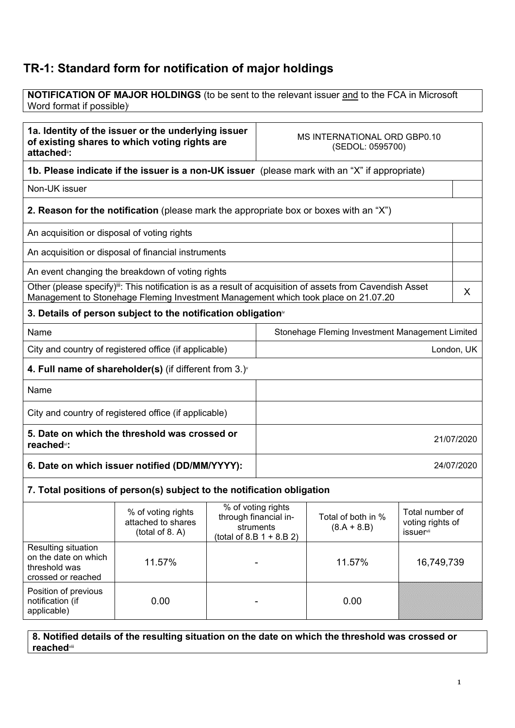## TR-1: Standard form for notification of major holdings

NOTIFICATION OF MAJOR HOLDINGS (to be sent to the relevant issuer and to the FCA in Microsoft Word format if possible)<sup>i</sup>

| 1a. Identity of the issuer or the underlying issuer<br>of existing shares to which voting rights are<br>attached <sup>®</sup> : |                                                                                                                                                                                                              |            | MS INTERNATIONAL ORD GBP0.10<br>(SEDOL: 0595700) |                                                 |            |   |
|---------------------------------------------------------------------------------------------------------------------------------|--------------------------------------------------------------------------------------------------------------------------------------------------------------------------------------------------------------|------------|--------------------------------------------------|-------------------------------------------------|------------|---|
|                                                                                                                                 | 1b. Please indicate if the issuer is a non-UK issuer (please mark with an "X" if appropriate)                                                                                                                |            |                                                  |                                                 |            |   |
| Non-UK issuer                                                                                                                   |                                                                                                                                                                                                              |            |                                                  |                                                 |            |   |
|                                                                                                                                 | <b>2. Reason for the notification</b> (please mark the appropriate box or boxes with an "X")                                                                                                                 |            |                                                  |                                                 |            |   |
| An acquisition or disposal of voting rights                                                                                     |                                                                                                                                                                                                              |            |                                                  |                                                 |            |   |
|                                                                                                                                 | An acquisition or disposal of financial instruments                                                                                                                                                          |            |                                                  |                                                 |            |   |
|                                                                                                                                 | An event changing the breakdown of voting rights                                                                                                                                                             |            |                                                  |                                                 |            |   |
|                                                                                                                                 | Other (please specify) <sup>iii</sup> : This notification is as a result of acquisition of assets from Cavendish Asset<br>Management to Stonehage Fleming Investment Management which took place on 21.07.20 |            |                                                  |                                                 |            | X |
|                                                                                                                                 | 3. Details of person subject to the notification obligation <sup>*</sup>                                                                                                                                     |            |                                                  |                                                 |            |   |
| Name                                                                                                                            |                                                                                                                                                                                                              |            |                                                  | Stonehage Fleming Investment Management Limited |            |   |
| City and country of registered office (if applicable)                                                                           |                                                                                                                                                                                                              |            |                                                  |                                                 | London, UK |   |
|                                                                                                                                 | 4. Full name of shareholder(s) (if different from $3.$ ) $\check{ }$                                                                                                                                         |            |                                                  |                                                 |            |   |
| Name                                                                                                                            |                                                                                                                                                                                                              |            |                                                  |                                                 |            |   |
| City and country of registered office (if applicable)                                                                           |                                                                                                                                                                                                              |            |                                                  |                                                 |            |   |
| 5. Date on which the threshold was crossed or<br>reached <sup>vi</sup> :                                                        |                                                                                                                                                                                                              | 21/07/2020 |                                                  |                                                 |            |   |
| 6. Date on which issuer notified (DD/MM/YYYY):                                                                                  |                                                                                                                                                                                                              |            |                                                  |                                                 | 24/07/2020 |   |
|                                                                                                                                 | 7. Total positions of person(s) subject to the notification obligation                                                                                                                                       |            |                                                  |                                                 |            |   |
|                                                                                                                                 | % of voting rights<br>% of voting rights<br>through financial in-<br>Total of both in %<br>attached to shares<br>$(9$ $A + 9$ R)<br>etrumante.                                                               |            | Total number of<br>voting rights of              |                                                 |            |   |

|                                                                                           | $10$ VI VOULLY LIGHT<br>attached to shares<br>(total of 8. A) | through financial in-<br>struments<br>(total of 8.B $1 + 8.B 2$ ) | Total of both in %<br>$(8.A + 8.B)$ | , olu, nunivoi oi<br>voting rights of<br><b>issuer</b> <sup>vii</sup> |
|-------------------------------------------------------------------------------------------|---------------------------------------------------------------|-------------------------------------------------------------------|-------------------------------------|-----------------------------------------------------------------------|
| <b>Resulting situation</b><br>on the date on which<br>threshold was<br>crossed or reached | 11.57%                                                        |                                                                   | 11.57%                              | 16,749,739                                                            |
| Position of previous<br>notification (if<br>applicable)                                   | 0.00                                                          |                                                                   | 0.00                                |                                                                       |

8. Notified details of the resulting situation on the date on which the threshold was crossed or reachedviii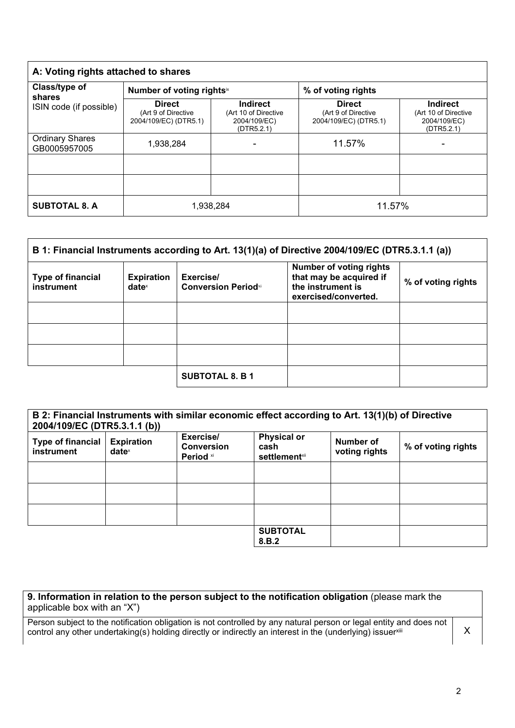| A: Voting rights attached to shares                |                                                               |                                                                       |                                                               |                                                                       |
|----------------------------------------------------|---------------------------------------------------------------|-----------------------------------------------------------------------|---------------------------------------------------------------|-----------------------------------------------------------------------|
| Class/type of<br>shares<br>ISIN code (if possible) | Number of voting rightsix                                     |                                                                       | % of voting rights                                            |                                                                       |
|                                                    | <b>Direct</b><br>(Art 9 of Directive<br>2004/109/EC) (DTR5.1) | <b>Indirect</b><br>(Art 10 of Directive<br>2004/109/EC)<br>(DTR5.2.1) | <b>Direct</b><br>(Art 9 of Directive<br>2004/109/EC) (DTR5.1) | <b>Indirect</b><br>(Art 10 of Directive<br>2004/109/EC)<br>(DTR5.2.1) |
| <b>Ordinary Shares</b><br>GB0005957005             | 1,938,284                                                     |                                                                       | 11.57%                                                        |                                                                       |
|                                                    |                                                               |                                                                       |                                                               |                                                                       |
|                                                    |                                                               |                                                                       |                                                               |                                                                       |
| <b>SUBTOTAL 8. A</b>                               | 1,938,284                                                     |                                                                       | 11.57%                                                        |                                                                       |

| B 1: Financial Instruments according to Art. 13(1)(a) of Directive 2004/109/EC (DTR5.3.1.1 (a)) |                                      |                                          |                                                                                                        |                    |
|-------------------------------------------------------------------------------------------------|--------------------------------------|------------------------------------------|--------------------------------------------------------------------------------------------------------|--------------------|
| <b>Type of financial</b><br>instrument                                                          | <b>Expiration</b><br>$date^{\times}$ | Exercise/<br><b>Conversion Period</b> xi | <b>Number of voting rights</b><br>that may be acquired if<br>the instrument is<br>exercised/converted. | % of voting rights |
|                                                                                                 |                                      |                                          |                                                                                                        |                    |
|                                                                                                 |                                      |                                          |                                                                                                        |                    |
|                                                                                                 |                                      |                                          |                                                                                                        |                    |
|                                                                                                 |                                      | <b>SUBTOTAL 8. B 1</b>                   |                                                                                                        |                    |

| B 2: Financial Instruments with similar economic effect according to Art. 13(1)(b) of Directive<br>2004/109/EC (DTR5.3.1.1 (b)) |                                      |                                             |                                                     |                            |                    |
|---------------------------------------------------------------------------------------------------------------------------------|--------------------------------------|---------------------------------------------|-----------------------------------------------------|----------------------------|--------------------|
| <b>Type of financial</b><br>instrument                                                                                          | <b>Expiration</b><br>$date^{\times}$ | Exercise/<br><b>Conversion</b><br>Period xi | <b>Physical or</b><br>cash<br><b>settlement</b> xii | Number of<br>voting rights | % of voting rights |
|                                                                                                                                 |                                      |                                             |                                                     |                            |                    |
|                                                                                                                                 |                                      |                                             |                                                     |                            |                    |
|                                                                                                                                 |                                      |                                             |                                                     |                            |                    |
|                                                                                                                                 |                                      |                                             | <b>SUBTOTAL</b><br>8.B.2                            |                            |                    |

| 9. Information in relation to the person subject to the notification obligation (please mark the |  |
|--------------------------------------------------------------------------------------------------|--|
| applicable box with an "X")                                                                      |  |

Person subject to the notification obligation is not controlled by any natural person or legal entity and does not control any other undertaking(s) holding directly or indirectly an interest in the (underlying) issuerxill  $X$